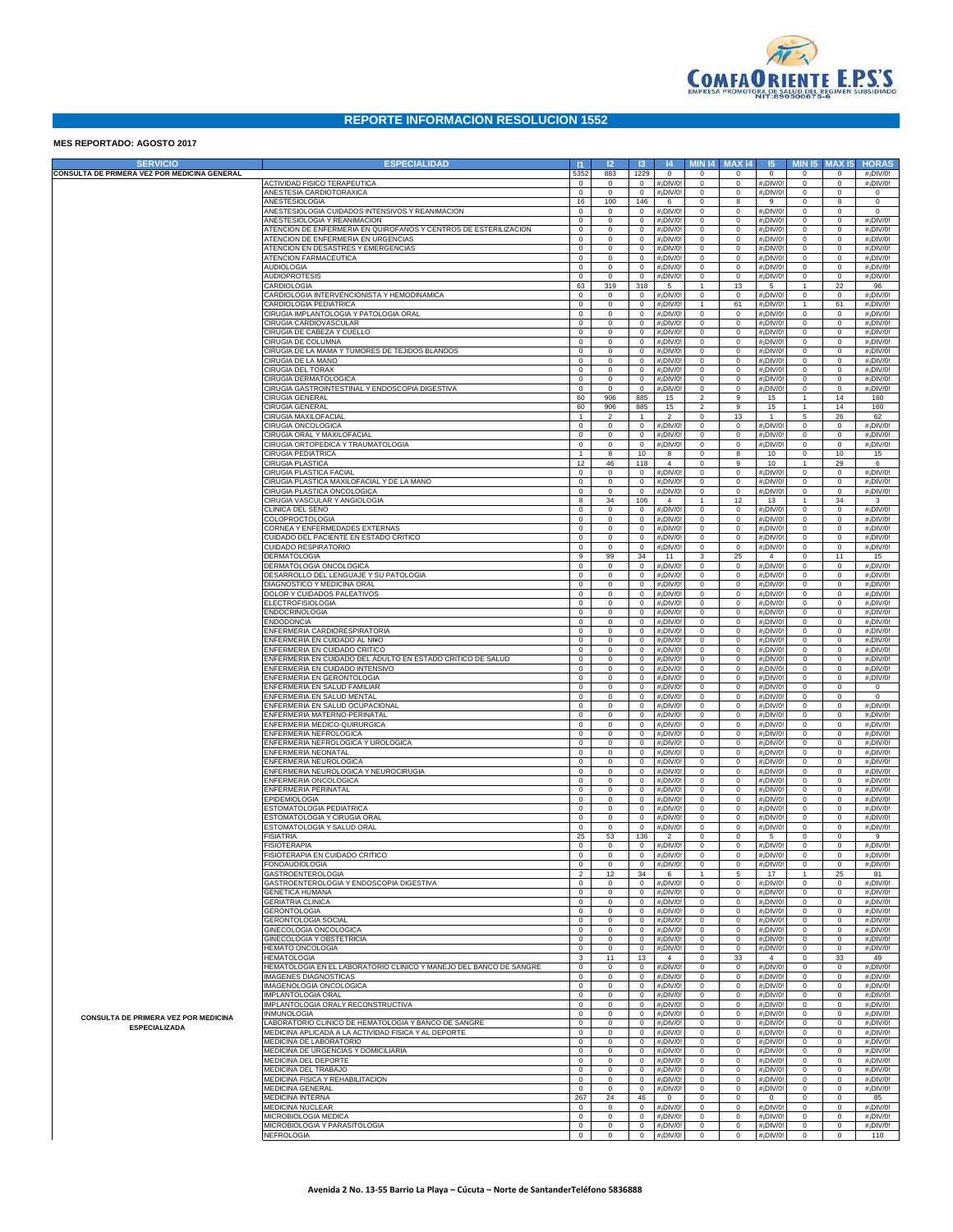

## **REPORTE INFORMACION RESOLUCION 1552**

## **MES REPORTADO: AGOSTO 2017**

| <b>SERVICIO</b>                                              | <b>ESPECIALIDAD</b>                                                                                         | $\mathbf{H}$                 | 12                           | 13                               | 4                                                  | <b>MIN 14</b>                 | <b>MAX14</b>                     | 5                                                  | <b>MIN 15</b>                | <b>MAX 15</b>                    | <b>HORAS</b>                  |
|--------------------------------------------------------------|-------------------------------------------------------------------------------------------------------------|------------------------------|------------------------------|----------------------------------|----------------------------------------------------|-------------------------------|----------------------------------|----------------------------------------------------|------------------------------|----------------------------------|-------------------------------|
| CONSULTA DE PRIMERA VEZ POR MEDICINA GENERAL                 |                                                                                                             | 5352                         | 883                          | 1229                             | $\overline{0}$                                     | 0                             | $^{\circ}$                       | $\overline{0}$                                     | $\mathbf{0}$                 | $\mathbf{0}$                     | #¡DIV/0!                      |
|                                                              | ACTIVIDAD FISICO TERAPEUTICA<br>ANESTESIA CARDIOTORAXICA                                                    | $\mathbf{0}$<br>$\mathbf 0$  | $\circ$<br>$\circ$           | $\circ$<br>0                     | #¡DIV/0<br>#¡DIV/0                                 | $\mathbf 0$<br>$\mathbf 0$    | $\overline{0}$<br>$\mathbf 0$    | #¡DIV/0<br>#¡DIV/0!                                | $\circ$<br>$\circ$           | $\mathbf{0}$<br>$\mathbf 0$      | #¡DIV/0!<br>$\mathbf 0$       |
|                                                              | ANESTESIOLOGIA                                                                                              | 16                           | 100                          | 146                              | 6                                                  | $\mathbf 0$                   | 8                                | 9                                                  | $\circ$                      | 8                                | $\mathbf 0$                   |
|                                                              | ANESTESIOLOGIA CUIDADOS INTENSIVOS Y REANIMACION                                                            | $\mathbf 0$                  | $\circ$                      | 0                                | #¡DIV/0                                            | $\mathbf 0$                   | $\mathbf 0$                      | #¡DIV/0                                            | $\mathbf{0}$                 | $\mathbf 0$                      | 0                             |
|                                                              | ANESTESIOLOGIA Y REANIMACION<br>ATENCION DE ENFERMERIA EN QUIROFANOS Y CENTROS DE ESTERILIZACION            | $\mathbf 0$<br>$\mathbf 0$   | $\mathbf 0$<br>$\mathbf 0$   | 0<br>0                           | $#$ <sub>i</sub> DIV/0!<br>$#$ <sub>i</sub> DIV/0! | $\mathbf 0$<br>$\mathbf 0$    | $\overline{0}$<br>$\overline{0}$ | $#$ <sub>i</sub> DIV/0!<br>$#$ <sub>i</sub> DIV/0! | $\mathbf{0}$<br>$\mathbf{0}$ | $\circ$<br>$\circ$               | #¡DIV/0!<br>#¡DIV/0!          |
|                                                              | ATENCION DE ENFERMERIA EN URGENCIAS                                                                         | $\mathbf 0$                  | $\mathbf 0$                  | 0                                | $#$ <sub>i</sub> DIV/0!                            | $\mathbf 0$                   | $\overline{0}$                   | $#$ <sub>i</sub> DIV/0!                            | $\mathbf 0$                  | $\circ$                          | #¡DIV/0!                      |
|                                                              | ATENCION EN DESASTRES Y EMERGENCIAS                                                                         | $\mathbf 0$                  | $\mathbf 0$                  | 0                                | $#$ <sub>i</sub> DIV/0!                            | $\mathbf 0$                   | $\overline{0}$                   | $#$ <sub>i</sub> DIV/0!                            | $\mathbf{0}$                 | $\circ$                          | #¡DIV/0!                      |
|                                                              | ATENCION FARMACEUTICA<br><b>AUDIOLOGIA</b>                                                                  | $\mathbf 0$<br>$\mathbf 0$   | $\mathbf 0$<br>$\mathbf 0$   | 0<br>0                           | $#$ <sub>i</sub> DIV/0!<br>$#$ <sub>i</sub> DIV/0! | $\mathbf 0$<br>$\mathbf 0$    | $\overline{0}$<br>$\overline{0}$ | $#$ <sub>i</sub> DIV/0!<br>$#$ <sub>i</sub> DIV/0! | $\mathbf{0}$<br>$\mathbf{0}$ | $\mathbf{0}$<br>$\mathbf{0}$     | #¡DIV/0!<br>#¡DIV/0!          |
|                                                              | AUDIOPROTESIS                                                                                               | $\mathbf 0$                  | $\mathbf 0$                  | 0                                | $#$ <sub>i</sub> DIV/0!                            | $\mathbf 0$                   | $\overline{0}$                   | #¡DIV/0!                                           | $\mathbf{0}$                 | $\circ$                          | #¡DIV/0!                      |
|                                                              | CARDIOLOGIA                                                                                                 | 63                           | 319                          | 318                              | 5                                                  | $\mathbf{1}$                  | 13                               | $5\overline{)}$                                    | $\mathbf{1}$                 | 22                               | 96                            |
|                                                              | CARDIOLOGIA INTERVENCIONISTA Y HEMODINAMICA<br>CARDIOLOGIA PEDIATRICA                                       | $\mathbf 0$<br>$\mathbf 0$   | $\mathbf 0$<br>$\mathbf 0$   | 0<br>0                           | #¡DIV/0!<br>$#$ <sub>i</sub> DIV/0!                | $\mathbf 0$<br>$\mathbf{1}$   | 0<br>61                          | #¡DIV/0<br>$#$ <sub>i</sub> DIV/0!                 | $\mathbf{0}$<br>$\mathbf{1}$ | $\circ$<br>61                    | #¡DIV/0!<br>#¡DIV/0!          |
|                                                              | CIRUGIA IMPLANTOLOGIA Y PATOLOGIA ORAL                                                                      | $\mathbf 0$                  | $\mathbf 0$                  | 0                                | $#$ <sub>i</sub> DIV/0!                            | $\mathbf 0$                   | $\overline{0}$                   | $#$ <sub>i</sub> DIV/0!                            | $\mathbf{0}$                 | $\circ$                          | #¡DIV/0!                      |
|                                                              | CIRUGIA CARDIOVASCULAR                                                                                      | $\mathbf 0$                  | $\mathbf 0$                  | 0                                | $#$ <sub>i</sub> DIV/0!                            | $\mathbf 0$                   | $\overline{0}$                   | $#$ <sub>i</sub> DIV/0!                            | $\circ$                      | $\mathbf{0}$                     | #¡DIV/0!                      |
|                                                              | CIRUGIA DE CABEZA Y CUELLO<br>CIRUGIA DE COLUMNA                                                            | $\mathbf 0$<br>$\mathbf 0$   | $\mathbf 0$<br>$\mathbf 0$   | 0<br>0                           | $#$ <sub>i</sub> DIV/0!<br>$#$ <sub>i</sub> DIV/0! | $\mathbf 0$<br>$\mathbf 0$    | $\overline{0}$<br>$\overline{0}$ | $#$ <sub>i</sub> DIV/0!<br>$#$ <sub>i</sub> DIV/0! | $\mathbf 0$<br>$\mathbf 0$   | $\mathbf{0}$<br>$\mathbf{0}$     | #¡DIV/0!<br>#¡DIV/0!          |
|                                                              | CIRUGIA DE LA MAMA Y TUMORES DE TEJIDOS BLANDOS                                                             | $\mathbf 0$                  | $\mathbf 0$                  | 0                                | $#$ <sub>i</sub> DIV/0!                            | $\mathbf 0$                   | $\overline{0}$                   | $#$ <sub>i</sub> DIV/0!                            | $\mathbf{0}$                 | $\mathbf{0}$                     | #¡DIV/0!                      |
|                                                              | CIRUGIA DE LA MANO                                                                                          | $\mathbf 0$                  | $\mathbf 0$                  | 0                                | $#$ <sub>i</sub> DIV/0!                            | $\mathbf 0$                   | $\overline{0}$                   | $#$ <sub>i</sub> DIV/0!                            | $\mathbf{0}$                 | $\mathbf{0}$                     | #¡DIV/0!                      |
|                                                              | CIRUGIA DEL TORAX<br>CIRUGIA DERMATOLOGICA                                                                  | $\mathbf 0$<br>$\mathbf 0$   | $\mathbf 0$<br>$\mathbf 0$   | 0<br>0                           | $#$ <sub>i</sub> DIV/0!<br>$#$ <sub>i</sub> DIV/0! | $\mathbf 0$<br>$\mathbf 0$    | $\overline{0}$<br>$\overline{0}$ | $#$ <sub>i</sub> DIV/0!<br>$#$ <sub>i</sub> DIV/0! | $\circ$<br>$\mathbf{0}$      | $\mathbf{0}$<br>$\circ$          | #¡DIV/0!<br>#¡DIV/0!          |
|                                                              | CIRUGIA GASTROINTESTINAL Y ENDOSCOPIA DIGESTIVA                                                             | $\mathbf 0$                  | 0                            | $\mathbf 0$                      | #¡DIV/0!                                           | $\mathbf 0$                   | $\overline{0}$                   | #¡DIV/0!                                           | $\circ$                      | $\circ$                          | #¡DIV/0!                      |
|                                                              | CIRUGIA GENERAL                                                                                             | 60                           | 906                          | 885                              | 15                                                 | $\overline{a}$                | 9                                | 15                                                 | $\mathbf{1}$                 | 14                               | 160                           |
|                                                              | CIRUGIA GENERAL<br>CIRUGIA MAXILOFACIAL                                                                     | 60<br>$\mathbf{1}$           | 906<br>$\overline{2}$        | 885<br>$\mathbf{1}$              | 15<br>$\overline{2}$                               | $\overline{2}$<br>$\mathbf 0$ | 9<br>13                          | 15<br>$\overline{1}$                               | $\mathbf{1}$<br>5            | 14<br>26                         | 160<br>62                     |
|                                                              | CIRUGIA ONCOLOGICA                                                                                          | $\mathbf 0$                  | $\mathbf 0$                  | 0                                | #¡DIV/0                                            | $\mathbf 0$                   | $\overline{0}$                   | #¡DIV/0                                            | $\circ$                      | $\circ$                          | #¡DIV/0!                      |
|                                                              | CIRUGIA ORAL Y MAXILOFACIAL                                                                                 | $\mathbf 0$                  | $\mathbf 0$                  | 0                                | $#$ <sub>i</sub> DIV/0!                            | $\mathbf 0$                   | $\overline{0}$                   | #¡DIV/0!                                           | $\circ$                      | $\mathbf{0}$                     | #¡DIV/0!                      |
|                                                              | CIRUGIA ORTOPEDICA Y TRAUMATOLOGIA<br>CIRUGIA PEDIATRICA                                                    | $\mathbf 0$<br>$\mathbf{1}$  | $\mathbf 0$<br>8             | 0<br>10                          | #¡DIV/0<br>8                                       | $\mathbf 0$<br>$\mathbf 0$    | $\overline{0}$<br>8              | #¡DIV/0!<br>10                                     | $\mathbf 0$<br>$\circ$       | $\circ$<br>10                    | #¡DIV/0!<br>15                |
|                                                              | CIRUGIA PLASTICA                                                                                            | 12                           | 46                           | 118                              | $\overline{4}$                                     | 0                             | 9                                | 10                                                 | $\mathbf{1}$                 | 29                               | 6                             |
|                                                              | CIRUGIA PLASTICA FACIAL                                                                                     | $\mathbf 0$                  | $\mathbf 0$                  | 0                                | #¡DIV/0                                            | 0                             | $\overline{0}$                   | #¡DIV/0                                            | $\circ$                      | $\circ$                          | #¡DIV/0!                      |
|                                                              | CIRUGIA PLASTICA MAXILOFACIAL Y DE LA MANO<br>CIRUGIA PLASTICA ONCOLOGICA                                   | $\mathbf 0$<br>$\mathbf 0$   | $\mathbf 0$<br>0             | 0<br>0                           | $#$ <sub>i</sub> DIV/0!<br>$#$ <sub>i</sub> DIV/0! | $\mathbf 0$<br>$\mathbf 0$    | $\overline{0}$<br>$\overline{0}$ | #¡DIV/0!<br>#¡DIV/0!                               | $\mathbf 0$<br>$\mathbf 0$   | $\mathbf{0}$<br>$\circ$          | #¡DIV/0!<br>#¡DIV/0!          |
|                                                              | CIRUGIA VASCULAR Y ANGIOLOGIA                                                                               | 8                            | 34                           | 106                              | $\overline{4}$                                     | $\mathbf{1}$                  | 12                               | 13                                                 | $\mathbf{1}$                 | 34                               | $\mathbf{3}$                  |
|                                                              | CLINICA DEL SENO                                                                                            | $\mathbf 0$                  | $\mathbf 0$                  | 0                                | #¡DIV/0                                            | $\mathbf 0$                   | $\mathbf 0$                      | #¡DIV/0                                            | $\mathbf{0}$                 | $\circ$                          | $#$ <sub>i</sub> DIV/0!       |
|                                                              | COLOPROCTOLOGIA<br>CORNEA Y ENFERMEDADES EXTERNAS                                                           | $\mathbf 0$<br>$\mathbf 0$   | $\mathbf 0$<br>$\mathbf 0$   | 0<br>0                           | $#$ <sub>i</sub> DIV/0!<br>$#$ <sub>i</sub> DIV/0! | $\mathbf 0$<br>$\mathbf 0$    | $\overline{0}$<br>$\overline{0}$ | $#$ <sub>i</sub> DIV/0!<br>$#$ <sub>i</sub> DIV/0! | $\circ$<br>$\circ$           | $\mathbf{0}$<br>$\circ$          | #¡DIV/0!<br>#¡DIV/0!          |
|                                                              | CUIDADO DEL PACIENTE EN ESTADO CRITICO                                                                      | $\mathbf 0$                  | $\mathbf 0$                  | 0                                | $#$ <sub>i</sub> DIV/0!                            | $\mathbf 0$                   | $\overline{0}$                   | $#$ <sub>i</sub> DIV/0!                            | $\mathbf 0$                  | $\mathbf{0}$                     | #¡DIV/0!                      |
|                                                              | CUIDADO RESPIRATORIO                                                                                        | $\mathbf 0$                  | 0                            | 0                                | $#$ <sub>i</sub> DIV/0!                            | $\mathbf 0$                   | $\overline{0}$                   | #¡DIV/0!                                           | $\circ$                      | $\mathbf{0}$                     | #¡DIV/0!                      |
|                                                              | DERMATOLOGIA<br>DERMATOLOGIA ONCOLOGICA                                                                     | 9<br>$\mathbf 0$             | 99<br>$\mathbf 0$            | 34<br>0                          | 11<br>#¡DIV/0                                      | 3<br>$\mathbf 0$              | 25<br>$\overline{0}$             | $\overline{4}$<br>#¡DIV/0                          | $\mathbf{0}$<br>$\circ$      | 11<br>$\circ$                    | 15<br>#¡DIV/0!                |
|                                                              | DESARROLLO DEL LENGUAJE Y SU PATOLOGIA                                                                      | $\mathbf 0$                  | $\mathbf 0$                  | 0                                | $#$ <sub>i</sub> DIV/0!                            | $\mathbf 0$                   | $\overline{0}$                   | $#$ <sub>i</sub> DIV/0!                            | $\circ$                      | $\circ$                          | #¡DIV/0!                      |
|                                                              | DIAGNOSTICO Y MEDICINA ORAL                                                                                 | $\mathbf 0$                  | $\mathbf 0$                  | 0                                | $#$ <sub>i</sub> DIV/0!                            | $\mathbf 0$                   | $\overline{0}$                   | $#$ <sub>i</sub> DIV/0!                            | $\circ$                      | $\circ$                          | #¡DIV/0!                      |
|                                                              | DOLOR Y CUIDADOS PALEATIVOS<br>ELECTROFISIOLOGIA                                                            | $\mathbf 0$<br>$\mathbf 0$   | $\mathbf 0$<br>$\mathbf 0$   | 0<br>0                           | $#$ <sub>i</sub> DIV/0!<br>$#$ <sub>i</sub> DIV/0! | $\mathbf 0$<br>$\mathbf 0$    | $\overline{0}$<br>$\overline{0}$ | $#$ <sub>i</sub> DIV/0!<br>$#$ <sub>i</sub> DIV/0! | $\mathbf 0$<br>$\mathbf{0}$  | $\circ$<br>$\mathbf{0}$          | #¡DIV/0!<br>#¡DIV/0!          |
|                                                              | ENDOCRINOLOGIA                                                                                              | $\mathbf 0$                  | $\mathbf 0$                  | 0                                | $#$ <sub>i</sub> DIV/0!                            | $\mathbf 0$                   | $\overline{0}$                   | $#$ <sub>i</sub> DIV/0!                            | $\circ$                      | $\mathbf{0}$                     | #¡DIV/0!                      |
|                                                              | ENDODONCIA                                                                                                  | $\mathbf 0$                  | $\mathbf 0$                  | 0                                | $#$ <sub>i</sub> DIV/0!                            | $\mathbf 0$                   | $\overline{0}$                   | $#$ <sub>i</sub> DIV/0!                            | $\circ$                      | $\circ$                          | #¡DIV/0!                      |
|                                                              | ENFERMERIA CARDIORESPIRATORIA<br>ENFERMERIA EN CUIDADO AL NI¥O                                              | $\mathbf 0$<br>$\mathbf 0$   | $\mathbf 0$<br>$\mathbf 0$   | 0<br>0                           | $#$ <sub>i</sub> DIV/0!<br>$#$ <sub>i</sub> DIV/0! | $\mathbf 0$<br>$\mathbf 0$    | $\overline{0}$<br>$\overline{0}$ | $#$ <sub>i</sub> DIV/0!<br>$#$ <sub>i</sub> DIV/0! | $\circ$<br>$\mathbf 0$       | $\circ$<br>$\mathbf{0}$          | #¡DIV/0!<br>#¡DIV/0!          |
|                                                              | ENFERMERIA EN CUIDADO CRITICO                                                                               | $\mathbf 0$                  | $\mathbf 0$                  | 0                                | $#$ <sub>i</sub> DIV/0!                            | $\mathbf 0$                   | $\overline{0}$                   | $#$ <sub>i</sub> DIV/0!                            | $\circ$                      | $\mathbf{0}$                     | #¡DIV/0!                      |
|                                                              | ENFERMERIA EN CUIDADO DEL ADULTO EN ESTADO CRITICO DE SALUD<br>ENFERMERIA EN CUIDADO INTENSIVO              | $\mathbf 0$<br>$\mathbf 0$   | $\mathbf 0$<br>$\mathbf 0$   | 0<br>0                           | $#$ <sub>i</sub> DIV/0!<br>$#$ <sub>i</sub> DIV/0! | $\mathbf 0$<br>$\mathbf 0$    | $\overline{0}$<br>$\overline{0}$ | $#$ <sub>i</sub> DIV/0!<br>$#$ <sub>i</sub> DIV/0! | $\mathbf{0}$<br>$\circ$      | $\mathbf{0}$<br>$\mathbf{0}$     | #¡DIV/0!<br>#¡DIV/0!          |
|                                                              | ENFERMERIA EN GERONTOLOGIA                                                                                  | $\mathbf 0$                  | $\mathbf 0$                  | 0                                | $#$ <sub>i</sub> DIV/0!                            | $\mathbf 0$                   | $\overline{0}$                   | $#$ <sub>i</sub> DIV/0!                            | $\circ$                      | $\mathbf{0}$                     | #¡DIV/0!                      |
|                                                              | ENFERMERIA EN SALUD FAMILIAR                                                                                | $\mathbf 0$                  | $\mathbf 0$                  | 0                                | $#$ <sub>i</sub> DIV/0!                            | $\mathbf 0$                   | $\overline{0}$                   | $#$ <sub>i</sub> DIV/0!                            | $\mathbf 0$                  | $\circ$                          | $\circ$                       |
|                                                              | ENFERMERIA EN SALUD MENTAL<br>ENFERMERIA EN SALUD OCUPACIONAL                                               | $\mathbf 0$<br>$\mathbf 0$   | $\mathbf 0$<br>$\mathbf 0$   | 0<br>0                           | $#$ <sub>i</sub> DIV/0!<br>$#$ <sub>i</sub> DIV/0! | $\mathbf 0$<br>$\mathbf 0$    | $\overline{0}$<br>$\overline{0}$ | $#$ <sub>i</sub> DIV/0!<br>$#$ <sub>i</sub> DIV/0! | $\circ$<br>$\mathbf{0}$      | $\mathbf 0$<br>$\circ$           | $\mathbf 0$<br>#¡DIV/0!       |
|                                                              | ENFERMERIA MATERNO-PERINATAL                                                                                | $\mathbf 0$                  | $\mathbf 0$                  | 0                                | $#$ <sub>i</sub> DIV/0!                            | $\mathbf 0$                   | $\overline{0}$                   | $#$ <sub>i</sub> DIV/0!                            | $\circ$                      | $\circ$                          | #¡DIV/0!                      |
|                                                              | ENFERMERIA MEDICO-QUIRURGICA                                                                                | $\mathbf 0$                  | $\mathbf 0$                  | 0                                | $#$ <sub>i</sub> DIV/0!                            | $\mathbf 0$                   | $\overline{0}$                   | $#$ <sub>i</sub> DIV/0!                            | $\circ$                      | $\circ$                          | #¡DIV/0!                      |
|                                                              | ENFERMERIA NEFROLOGICA<br>ENFERMERIA NEFROLOGICA Y UROLOGICA                                                | $\mathbf 0$<br>$\mathbf 0$   | $\mathbf 0$<br>$\mathbf 0$   | 0<br>0                           | $#$ <sub>i</sub> DIV/0!<br>$#$ <sub>i</sub> DIV/0! | $\mathbf 0$<br>$\mathbf 0$    | $\overline{0}$<br>$\overline{0}$ | $#$ <sub>i</sub> DIV/0!<br>$#$ <sub>i</sub> DIV/0! | $\circ$<br>$\mathbf 0$       | $\circ$<br>$\circ$               | #¡DIV/0!<br>#¡DIV/0!          |
|                                                              | ENFERMERIA NEONATAL                                                                                         | $\mathbf 0$                  | $\mathbf 0$                  | 0                                | $#$ <sub>i</sub> DIV/0!                            | $\mathbf 0$                   | $\overline{0}$                   | $#$ <sub>i</sub> DIV/0!                            | $\mathbf{0}$                 | $\mathbf{0}$                     | #¡DIV/0!                      |
|                                                              | ENFERMERIA NEUROLOGICA                                                                                      | $\mathbf 0$                  | $\mathbf 0$                  | 0                                | $#$ <sub>i</sub> DIV/0!                            | $\mathbf 0$                   | $\overline{0}$                   | $#$ <sub>i</sub> DIV/0!                            | $\circ$                      | $\mathbf{0}$                     | #¡DIV/0!                      |
|                                                              | ENFERMERIA NEUROLOGICA Y NEUROCIRUGIA<br>ENFERMERIA ONCOLOGICA                                              | $\mathbf 0$<br>$\mathbf 0$   | $\mathbf 0$<br>$\mathbf 0$   | 0<br>0                           | $#$ <sub>i</sub> DIV/0!<br>$#$ <sub>i</sub> DIV/0! | $\mathbf 0$<br>$\mathbf 0$    | $\overline{0}$<br>$\overline{0}$ | $#$ <sub>i</sub> DIV/0!<br>$#$ <sub>i</sub> DIV/0! | $\circ$<br>$\mathbf 0$       | $\circ$<br>$\mathbf{0}$          | #¡DIV/0!<br>#¡DIV/0!          |
|                                                              | ENFERMERIA PERINATAL                                                                                        | $\mathbf 0$                  | $\mathbf 0$                  | 0                                | $#$ <sub>i</sub> DIV/0!                            | $\mathbf 0$                   | $\overline{0}$                   | $#$ <sub>i</sub> DIV/0!                            | $\mathbf 0$                  | $\mathbf{0}$                     | #¡DIV/0!                      |
|                                                              | EPIDEMIOLOGIA                                                                                               | $\mathbf 0$                  | $\mathbf 0$                  | 0                                | $#$ <sub>i</sub> DIV/0!                            | $\mathbf 0$                   | $\overline{0}$                   | $#$ <sub>i</sub> DIV/0!                            | $\mathbf 0$                  | $\circ$                          | #¡DIV/0!                      |
|                                                              | ESTOMATOLOGIA PEDIATRICA<br>ESTOMATOLOGIA Y CIRUGIA ORAL                                                    | $\mathbf 0$<br>0             | $\mathbf 0$<br>0             | 0<br>0                           | $#$ <sub>i</sub> DIV/0!<br>#¡DIV/0                 | $\mathbf 0$<br>0              | $\overline{0}$<br>$\mathbf 0$    | $#$ <sub>i</sub> DIV/0!<br>$#$ <sub>i</sub> DIV/0! | $\circ$<br>$\mathbf 0$       | $\circ$<br>$\circ$               | #¡DIV/0!<br>#¡DIV/0!          |
|                                                              | ESTOMATOLOGIA Y SALUD ORAL                                                                                  | $\circ$                      | $\mathbf{0}$                 | $\circ$                          | #¡DIV/0                                            | 0                             | 0                                | #¡DIV/0!                                           | $\circ$                      | $\mathbf 0$                      | #¡DIV/0!                      |
|                                                              | FISIATRIA<br><b>FISIOTERAPIA</b>                                                                            | 25<br>$\circ$                | 53<br>$\mathbf{0}$           | 136<br>0                         | $\overline{2}$<br>#¡DIV/0!                         | 0<br>0                        | $^{\circ}$<br>$^{\circ}$         | $5\overline{5}$<br>$#$ <sub>i</sub> DIV/0!         | $^{\circ}$<br>$\circ$        | $^{\circ}$<br>$\circ$            | 9<br># $i$ DIV/0!             |
|                                                              | ISIOTERAPIA EN CUIDADO CRITICO                                                                              | $\Omega$                     | 0                            | $^{\circ}$                       | $\sharp$ iDIV/0!                                   |                               |                                  | # $ D V/0$                                         | $^{\circ}$                   |                                  | #¡DIV/0!                      |
|                                                              | <b>FONOAUDIOLOGIA</b>                                                                                       | $\circ$                      | $^{\circ}$                   | $\overline{0}$                   | #¡DIV/0!                                           | 0                             | $^{\circ}$                       | #¡DIV/0!                                           | $^{\circ}$                   | $^{\circ}$                       | #¡DIV/0!                      |
|                                                              | <b>GASTROENTEROLOGIA</b><br>GASTROENTEROLOGIA Y ENDOSCOPIA DIGESTIVA                                        | $\overline{2}$<br>$^{\circ}$ | 12<br>$^{\circ}$             | 34<br>$\overline{0}$             | 6<br>#¡DIV/0!                                      | $\mathbf{1}$<br>$\mathbf{0}$  | 5<br>$^{\circ}$                  | 17<br>#¡DIV/0!                                     | 1<br>$\mathbf{0}$            | 25<br>$^{\circ}$                 | 81<br>$#$ <sub>i</sub> DIV/0! |
|                                                              | GENETICA HUMANA                                                                                             | $\mathbf{0}$                 | $\mathbf{0}$                 | $\overline{0}$                   | #¡DIV/0!                                           | $\mathbf 0$                   | $^{\circ}$                       | #¡DIV/0!                                           | $\mathbf{0}$                 | $\overline{0}$                   | #¡DIV/0!                      |
|                                                              | <b>GERIATRIA CLINICA</b>                                                                                    | $\mathbf{0}$                 | $^{\circ}$                   | $\overline{0}$                   | #¡DIV/0!                                           | $\mathbf{0}$                  | $^{\circ}$                       | #¡DIV/0!                                           | $\mathbf{0}$                 | $\overline{0}$                   | #¡DIV/0!                      |
|                                                              | GERONTOLOGIA<br><b>GERONTOLOGIA SOCIAL</b>                                                                  | $\overline{0}$<br>$^{\circ}$ | $^{\circ}$<br>$^{\circ}$     | $\mathbf{0}$<br>$\mathbf{0}$     | #¡DIV/0!<br>#¡DIV/0!                               | $\mathbf{0}$<br>$\mathbf 0$   | $^{\circ}$<br>$\overline{0}$     | #¡DIV/0!<br>#¡DIV/0!                               | $^{\circ}$<br>$^{\circ}$     | $\overline{0}$<br>$\overline{0}$ | #¡DIV/0!<br>#¡DIV/0!          |
|                                                              | GINECOLOGIA ONCOLOGICA                                                                                      | $^{\circ}$                   | $^{\circ}$                   | $\overline{0}$                   | #¡DIV/0!                                           | $\mathbf 0$                   | $\overline{0}$                   | #¡DIV/0!                                           | $\mathbf{0}$                 | $\overline{0}$                   | #¡DIV/0!                      |
|                                                              | GINECOLOGIA Y OBSTETRICIA                                                                                   | $\mathbf{0}$                 | $^{\circ}$                   | $\overline{0}$                   | #¡DIV/0!                                           | $\mathbf 0$                   | $\overline{0}$                   | #¡DIV/0!                                           | $\mathbf{0}$                 | $\overline{0}$                   | #¡DIV/0!                      |
|                                                              | HEMATO ONCOLOGIA<br>HEMATOLOGIA                                                                             | $\mathbf{0}$<br>$\mathbf{3}$ | $^{\circ}$<br>11             | $\overline{0}$<br>13             | #¡DIV/0!<br>$\sim$ 4                               | $\mathbf 0$<br>$\mathbf{0}$   | $^{\circ}$<br>33                 | #¡DIV/0!<br>4                                      | $\mathbf{0}$<br>$^{\circ}$   | $\circ$<br>33                    | $#$ <sub>i</sub> DIV/0!<br>49 |
|                                                              | HEMATOLOGIA EN EL LABORATORIO CLINICO Y MANEJO DEL BANCO DE SANGRE                                          | $\overline{0}$               | $^{\circ}$                   | $\overline{0}$                   | #¡DIV/0!                                           | $\mathbf 0$                   | $\overline{0}$                   | #¡DIV/0!                                           | $^{\circ}$                   | $\overline{0}$                   | #¡DIV/0!                      |
|                                                              | <b>IMAGENES DIAGNOSTICAS</b>                                                                                | $\mathbf{0}$                 | $^{\circ}$                   | $\overline{0}$                   | #¡DIV/0!                                           | $\mathbf 0$                   | $^{\circ}$                       | #¡DIV/0!                                           | $^{\circ}$                   | $\mathbf{0}$                     | #¡DIV/0!                      |
|                                                              | <b>MAGENOLOGIA ONCOLOGICA</b><br>MPLANTOLOGIA ORAL                                                          | $\mathbf{0}$<br>$\mathbf{0}$ | $^{\circ}$<br>$^{\circ}$     | $\overline{0}$<br>$\overline{0}$ | #¡DIV/0!<br>#¡DIV/0!                               | $\mathbf 0$<br>$\mathbf 0$    | $\overline{0}$<br>$\overline{0}$ | #¡DIV/0!<br>#¡DIV/0!                               | $\mathbf{0}$<br>$\mathbf{0}$ | $\mathbf{0}$<br>$\mathbf{0}$     | #¡DIV/0!<br>#¡DIV/0!          |
|                                                              | MPLANTOLOGIA ORALY RECONSTRUCTIVA                                                                           | $\mathbf{0}$                 | $^{\circ}$                   | $\overline{0}$                   | #¡DIV/0!                                           | $\mathbf{0}$                  | $^{\circ}$                       | #¡DIV/0!                                           | $^{\circ}$                   | $\overline{0}$                   | #¡DIV/0!                      |
| CONSULTA DE PRIMERA VEZ POR MEDICINA<br><b>ESPECIALIZADA</b> | INMUNOLOGIA                                                                                                 | $\overline{0}$               | $^{\circ}$                   | $\overline{0}$                   | #¡DIV/0!                                           | $\mathbf{0}$                  | $^{\circ}$                       | #¡DIV/0!                                           | $^{\circ}$                   | $\overline{0}$                   | #¡DIV/0!                      |
|                                                              | ABORATORIO CLINICO DE HEMATOLOGIA Y BANCO DE SANGRE<br>MEDICINA APLICADA A LA ACTIVIDAD FISICA Y AL DEPORTE | $\mathbf{0}$<br>$\mathbf{0}$ | $^{\circ}$<br>$^{\circ}$     | $\overline{0}$<br>$\overline{0}$ | #¡DIV/0!<br>#¡DIV/0!                               | $\mathbf 0$<br>$\mathbf 0$    | $\overline{0}$<br>$\overline{0}$ | #¡DIV/0!<br>#¡DIV/0!                               | $^{\circ}$<br>$\mathbf{0}$   | $\overline{0}$<br>$\overline{0}$ | #¡DIV/0!<br>#¡DIV/0!          |
|                                                              | MEDICINA DE LABORATORIO                                                                                     | $\circ$                      | $^{\circ}$                   | $\overline{0}$                   | #¡DIV/0!                                           | $\mathbf 0$                   | $\overline{0}$                   | #¡DIV/0!                                           | $\mathbf{0}$                 | $\overline{0}$                   | #¡DIV/0!                      |
|                                                              | MEDICINA DE URGENCIAS Y DOMICILIARIA<br>MEDICINA DEL DEPORTE                                                | $\circ$<br>$\circ$           | $^{\circ}$<br>$^{\circ}$     | $\overline{0}$<br>$\overline{0}$ | #¡DIV/0!<br>#¡DIV/0!                               | $\mathbf{0}$<br>$\circ$       | $^{\circ}$<br>$^{\circ}$         | #¡DIV/0!<br>#¡DIV/0!                               | $\mathbf{0}$<br>$^{\circ}$   | $\overline{0}$<br>$\overline{0}$ | #¡DIV/0!<br>#¡DIV/0!          |
|                                                              | MEDICINA DEL TRABAJO                                                                                        | $^{\circ}$                   | $^{\circ}$                   | $\overline{0}$                   | #¡DIV/0!                                           | $\mathbf 0$                   | $\overline{0}$                   | #¡DIV/0!                                           | $^{\circ}$                   | $\overline{0}$                   | #¡DIV/0!                      |
|                                                              | MEDICINA FISICA Y REHABILITACION                                                                            | $^{\circ}$                   | $^{\circ}$                   | $\overline{0}$                   | #¡DIV/0!                                           | $\mathbf 0$                   | $\overline{0}$                   | #¡DIV/0!                                           | $\mathbf{0}$                 | $\overline{0}$                   | #¡DIV/0!                      |
|                                                              | MEDICINA GENERAL<br><b>MEDICINA INTERNA</b>                                                                 | $^{\circ}$<br>267            | $^{\circ}$<br>24             | $\overline{0}$<br>46             | #¡DIV/0!<br>$\overline{0}$                         | $\mathbf 0$<br>$\mathbf 0$    | $\overline{0}$<br>$\mathbf{0}$   | #¡DIV/0!<br>$\overline{0}$                         | $\mathbf{0}$<br>$\mathbf{0}$ | $\mathbf{0}$<br>$^{\circ}$       | #¡DIV/0!<br>85                |
|                                                              | MEDICINA NUCLEAR                                                                                            | $\circ$                      | $^{\circ}$                   | $\overline{0}$                   | #¡DIV/0!                                           | $\mathbf{0}$                  | $\overline{0}$                   | #¡DIV/0!                                           | $\mathbf{0}$                 | $\overline{0}$                   | #¡DIV/0!                      |
|                                                              | MICROBIOLOGIA MEDICA                                                                                        | $\overline{0}$               | $^{\circ}$                   | $\overline{0}$                   | #¡DIV/0!                                           | $\overline{0}$                | $\overline{0}$                   | #¡DIV/0!                                           | $\circ$                      | $\overline{0}$                   | #¡DIV/0!                      |
|                                                              | MICROBIOLOGIA Y PARASITOLOGIA<br>NEFROLOGIA                                                                 | $^{\circ}$<br>$\overline{0}$ | $^{\circ}$<br>$\overline{0}$ | $\overline{0}$                   | #¡DIV/0!<br>$0$ # <sub>i</sub> DIV/0!              | $\mathbf 0$<br>$\overline{0}$ | $^{\circ}$<br>$\overline{0}$     | # $ D V/0 $<br># $i$ DIV/0!                        | $^{\circ}$<br>$\overline{0}$ | $\mathbf{0}$<br>$\mathbf{0}$     | #¡DIV/0!<br>110               |